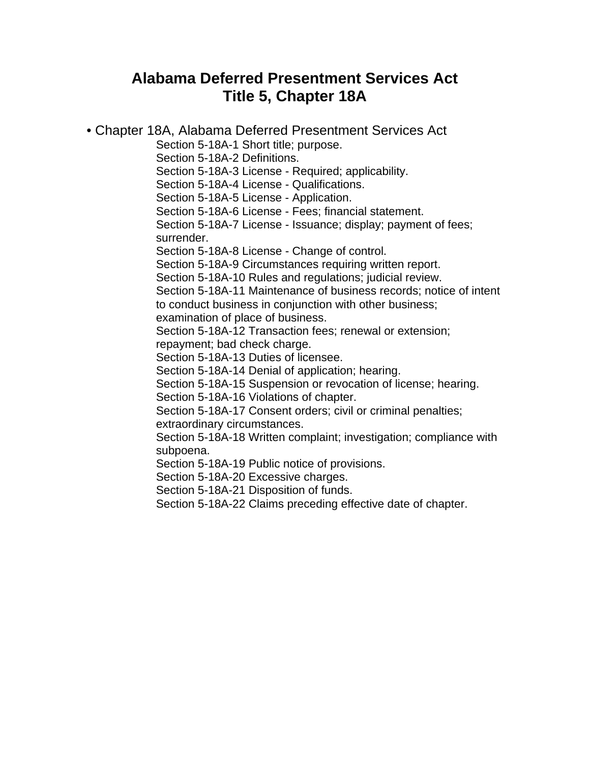# **Alabama Deferred Presentment Services Act Title 5, Chapter 18A**

• Chapter 18A, Alabama Deferred Presentment Services Act

Section 5-18A-1 Short title; purpose.

Section 5-18A-2 Definitions.

Section 5-18A-3 License - Required; applicability.

Section 5-18A-4 License - Qualifications.

Section 5-18A-5 License - Application.

Section 5-18A-6 License - Fees; financial statement.

Section 5-18A-7 License - Issuance; display; payment of fees; surrender.

Section 5-18A-8 License - Change of control.

Section 5-18A-9 Circumstances requiring written report.

Section 5-18A-10 Rules and regulations; judicial review.

Section 5-18A-11 Maintenance of business records; notice of intent to conduct business in conjunction with other business;

examination of place of business.

Section 5-18A-12 Transaction fees; renewal or extension;

repayment; bad check charge.

Section 5-18A-13 Duties of licensee.

Section 5-18A-14 Denial of application; hearing.

Section 5-18A-15 Suspension or revocation of license; hearing.

Section 5-18A-16 Violations of chapter.

Section 5-18A-17 Consent orders; civil or criminal penalties; extraordinary circumstances.

Section 5-18A-18 Written complaint; investigation; compliance with subpoena.

Section 5-18A-19 Public notice of provisions.

Section 5-18A-20 Excessive charges.

Section 5-18A-21 Disposition of funds.

Section 5-18A-22 Claims preceding effective date of chapter.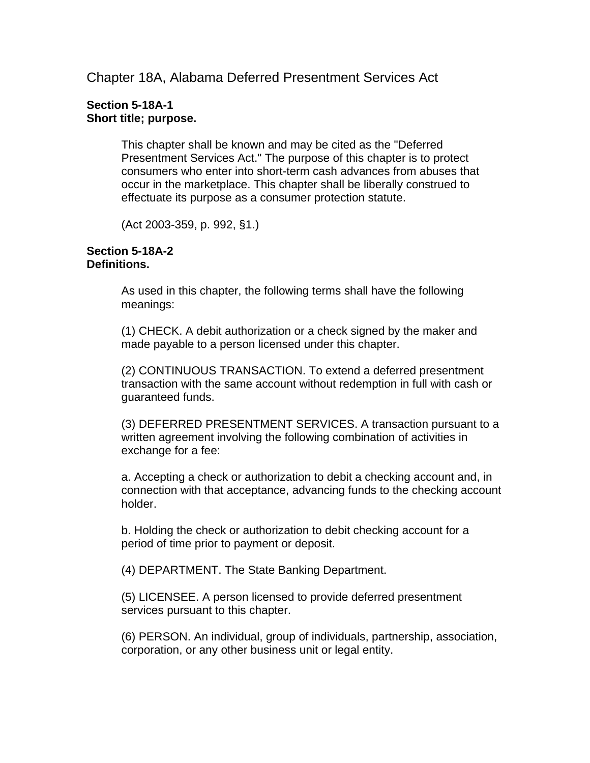Chapter 18A, Alabama Deferred Presentment Services Act

# **Section 5-18A-1 Short title; purpose.**

This chapter shall be known and may be cited as the "Deferred Presentment Services Act." The purpose of this chapter is to protect consumers who enter into short-term cash advances from abuses that occur in the marketplace. This chapter shall be liberally construed to effectuate its purpose as a consumer protection statute.

(Act 2003-359, p. 992, §1.)

#### **Section 5-18A-2 Definitions.**

As used in this chapter, the following terms shall have the following meanings:

(1) CHECK. A debit authorization or a check signed by the maker and made payable to a person licensed under this chapter.

(2) CONTINUOUS TRANSACTION. To extend a deferred presentment transaction with the same account without redemption in full with cash or guaranteed funds.

(3) DEFERRED PRESENTMENT SERVICES. A transaction pursuant to a written agreement involving the following combination of activities in exchange for a fee:

a. Accepting a check or authorization to debit a checking account and, in connection with that acceptance, advancing funds to the checking account holder.

b. Holding the check or authorization to debit checking account for a period of time prior to payment or deposit.

(4) DEPARTMENT. The State Banking Department.

(5) LICENSEE. A person licensed to provide deferred presentment services pursuant to this chapter.

(6) PERSON. An individual, group of individuals, partnership, association, corporation, or any other business unit or legal entity.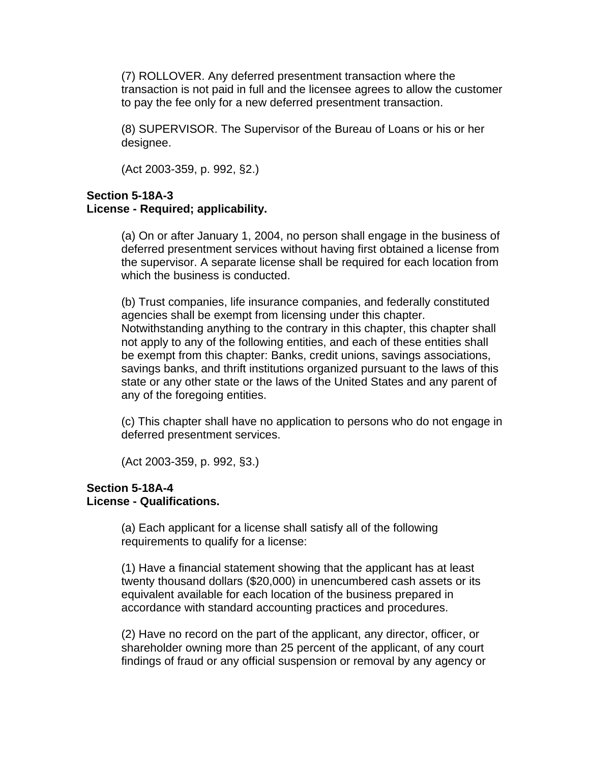(7) ROLLOVER. Any deferred presentment transaction where the transaction is not paid in full and the licensee agrees to allow the customer to pay the fee only for a new deferred presentment transaction.

(8) SUPERVISOR. The Supervisor of the Bureau of Loans or his or her designee.

(Act 2003-359, p. 992, §2.)

# **Section 5-18A-3 License - Required; applicability.**

(a) On or after January 1, 2004, no person shall engage in the business of deferred presentment services without having first obtained a license from the supervisor. A separate license shall be required for each location from which the business is conducted.

(b) Trust companies, life insurance companies, and federally constituted agencies shall be exempt from licensing under this chapter. Notwithstanding anything to the contrary in this chapter, this chapter shall not apply to any of the following entities, and each of these entities shall be exempt from this chapter: Banks, credit unions, savings associations, savings banks, and thrift institutions organized pursuant to the laws of this state or any other state or the laws of the United States and any parent of any of the foregoing entities.

(c) This chapter shall have no application to persons who do not engage in deferred presentment services.

(Act 2003-359, p. 992, §3.)

#### **Section 5-18A-4 License - Qualifications.**

(a) Each applicant for a license shall satisfy all of the following requirements to qualify for a license:

(1) Have a financial statement showing that the applicant has at least twenty thousand dollars (\$20,000) in unencumbered cash assets or its equivalent available for each location of the business prepared in accordance with standard accounting practices and procedures.

(2) Have no record on the part of the applicant, any director, officer, or shareholder owning more than 25 percent of the applicant, of any court findings of fraud or any official suspension or removal by any agency or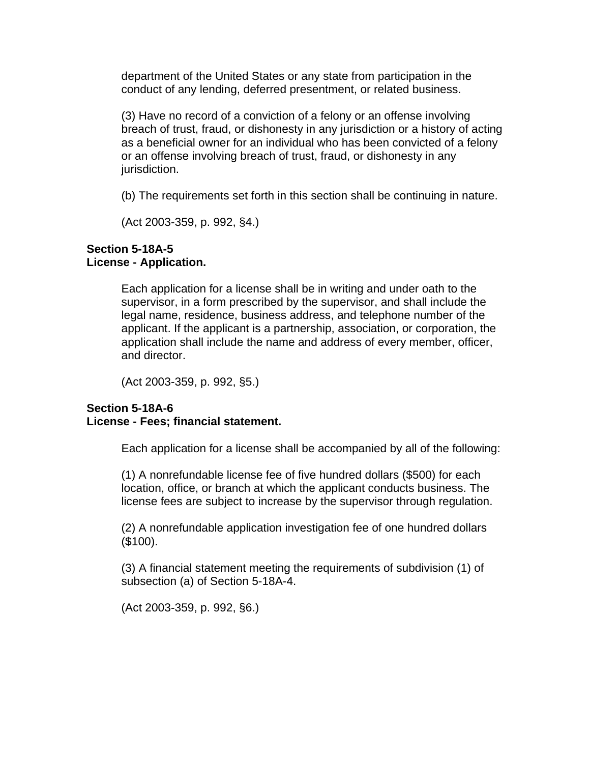department of the United States or any state from participation in the conduct of any lending, deferred presentment, or related business.

(3) Have no record of a conviction of a felony or an offense involving breach of trust, fraud, or dishonesty in any jurisdiction or a history of acting as a beneficial owner for an individual who has been convicted of a felony or an offense involving breach of trust, fraud, or dishonesty in any jurisdiction.

(b) The requirements set forth in this section shall be continuing in nature.

(Act 2003-359, p. 992, §4.)

# **Section 5-18A-5 License - Application.**

Each application for a license shall be in writing and under oath to the supervisor, in a form prescribed by the supervisor, and shall include the legal name, residence, business address, and telephone number of the applicant. If the applicant is a partnership, association, or corporation, the application shall include the name and address of every member, officer, and director.

(Act 2003-359, p. 992, §5.)

# **Section 5-18A-6 License - Fees; financial statement.**

Each application for a license shall be accompanied by all of the following:

(1) A nonrefundable license fee of five hundred dollars (\$500) for each location, office, or branch at which the applicant conducts business. The license fees are subject to increase by the supervisor through regulation.

(2) A nonrefundable application investigation fee of one hundred dollars (\$100).

(3) A financial statement meeting the requirements of subdivision (1) of subsection (a) of Section 5-18A-4.

(Act 2003-359, p. 992, §6.)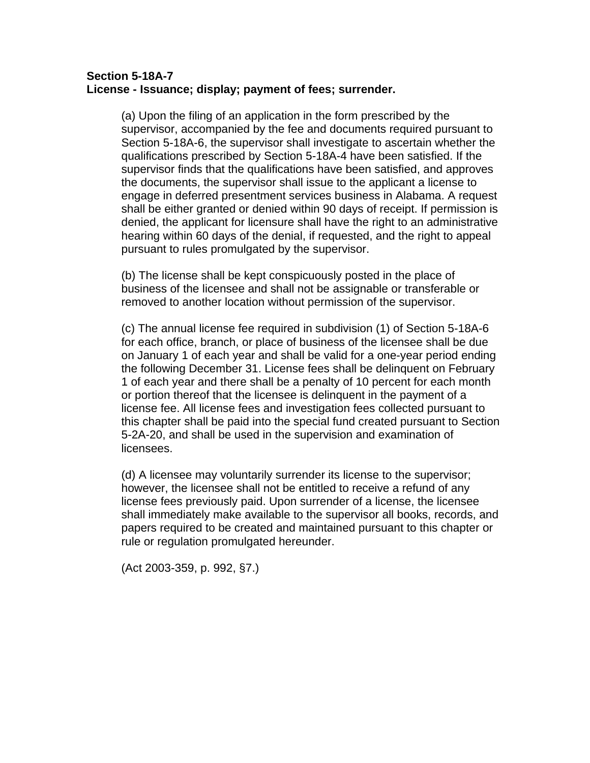# **Section 5-18A-7 License - Issuance; display; payment of fees; surrender.**

(a) Upon the filing of an application in the form prescribed by the supervisor, accompanied by the fee and documents required pursuant to Section 5-18A-6, the supervisor shall investigate to ascertain whether the qualifications prescribed by Section 5-18A-4 have been satisfied. If the supervisor finds that the qualifications have been satisfied, and approves the documents, the supervisor shall issue to the applicant a license to engage in deferred presentment services business in Alabama. A request shall be either granted or denied within 90 days of receipt. If permission is denied, the applicant for licensure shall have the right to an administrative hearing within 60 days of the denial, if requested, and the right to appeal pursuant to rules promulgated by the supervisor.

(b) The license shall be kept conspicuously posted in the place of business of the licensee and shall not be assignable or transferable or removed to another location without permission of the supervisor.

(c) The annual license fee required in subdivision (1) of Section 5-18A-6 for each office, branch, or place of business of the licensee shall be due on January 1 of each year and shall be valid for a one-year period ending the following December 31. License fees shall be delinquent on February 1 of each year and there shall be a penalty of 10 percent for each month or portion thereof that the licensee is delinquent in the payment of a license fee. All license fees and investigation fees collected pursuant to this chapter shall be paid into the special fund created pursuant to Section 5-2A-20, and shall be used in the supervision and examination of licensees.

(d) A licensee may voluntarily surrender its license to the supervisor; however, the licensee shall not be entitled to receive a refund of any license fees previously paid. Upon surrender of a license, the licensee shall immediately make available to the supervisor all books, records, and papers required to be created and maintained pursuant to this chapter or rule or regulation promulgated hereunder.

(Act 2003-359, p. 992, §7.)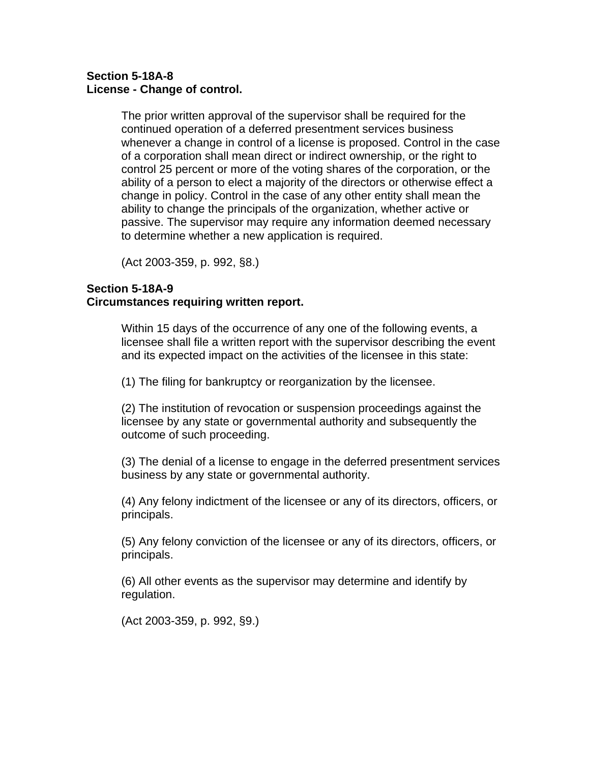# **Section 5-18A-8 License - Change of control.**

The prior written approval of the supervisor shall be required for the continued operation of a deferred presentment services business whenever a change in control of a license is proposed. Control in the case of a corporation shall mean direct or indirect ownership, or the right to control 25 percent or more of the voting shares of the corporation, or the ability of a person to elect a majority of the directors or otherwise effect a change in policy. Control in the case of any other entity shall mean the ability to change the principals of the organization, whether active or passive. The supervisor may require any information deemed necessary to determine whether a new application is required.

(Act 2003-359, p. 992, §8.)

# **Section 5-18A-9**

# **Circumstances requiring written report.**

Within 15 days of the occurrence of any one of the following events, a licensee shall file a written report with the supervisor describing the event and its expected impact on the activities of the licensee in this state:

(1) The filing for bankruptcy or reorganization by the licensee.

(2) The institution of revocation or suspension proceedings against the licensee by any state or governmental authority and subsequently the outcome of such proceeding.

(3) The denial of a license to engage in the deferred presentment services business by any state or governmental authority.

(4) Any felony indictment of the licensee or any of its directors, officers, or principals.

(5) Any felony conviction of the licensee or any of its directors, officers, or principals.

(6) All other events as the supervisor may determine and identify by regulation.

(Act 2003-359, p. 992, §9.)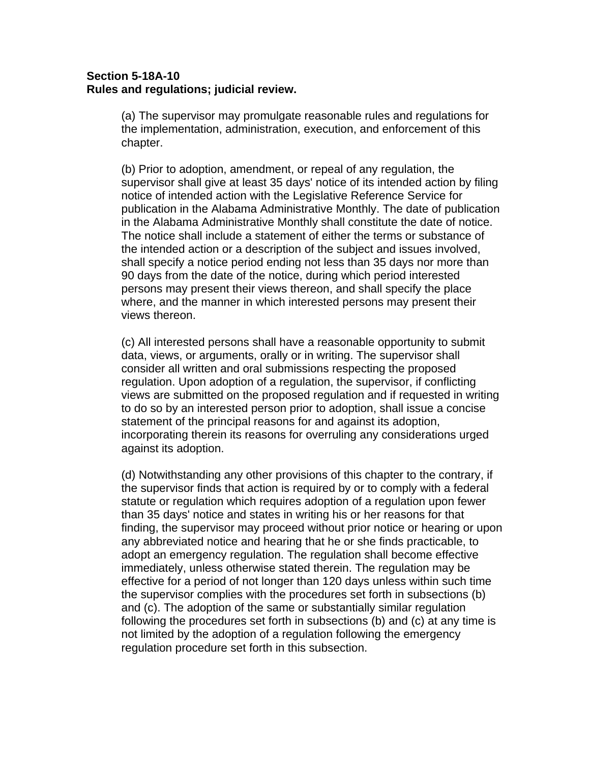# **Section 5-18A-10 Rules and regulations; judicial review.**

(a) The supervisor may promulgate reasonable rules and regulations for the implementation, administration, execution, and enforcement of this chapter.

(b) Prior to adoption, amendment, or repeal of any regulation, the supervisor shall give at least 35 days' notice of its intended action by filing notice of intended action with the Legislative Reference Service for publication in the Alabama Administrative Monthly. The date of publication in the Alabama Administrative Monthly shall constitute the date of notice. The notice shall include a statement of either the terms or substance of the intended action or a description of the subject and issues involved, shall specify a notice period ending not less than 35 days nor more than 90 days from the date of the notice, during which period interested persons may present their views thereon, and shall specify the place where, and the manner in which interested persons may present their views thereon.

(c) All interested persons shall have a reasonable opportunity to submit data, views, or arguments, orally or in writing. The supervisor shall consider all written and oral submissions respecting the proposed regulation. Upon adoption of a regulation, the supervisor, if conflicting views are submitted on the proposed regulation and if requested in writing to do so by an interested person prior to adoption, shall issue a concise statement of the principal reasons for and against its adoption, incorporating therein its reasons for overruling any considerations urged against its adoption.

(d) Notwithstanding any other provisions of this chapter to the contrary, if the supervisor finds that action is required by or to comply with a federal statute or regulation which requires adoption of a regulation upon fewer than 35 days' notice and states in writing his or her reasons for that finding, the supervisor may proceed without prior notice or hearing or upon any abbreviated notice and hearing that he or she finds practicable, to adopt an emergency regulation. The regulation shall become effective immediately, unless otherwise stated therein. The regulation may be effective for a period of not longer than 120 days unless within such time the supervisor complies with the procedures set forth in subsections (b) and (c). The adoption of the same or substantially similar regulation following the procedures set forth in subsections (b) and (c) at any time is not limited by the adoption of a regulation following the emergency regulation procedure set forth in this subsection.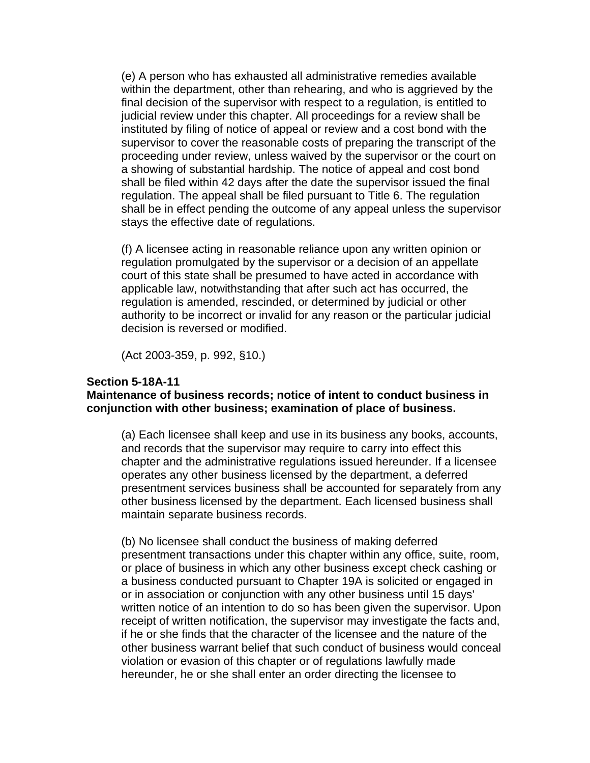(e) A person who has exhausted all administrative remedies available within the department, other than rehearing, and who is aggrieved by the final decision of the supervisor with respect to a regulation, is entitled to judicial review under this chapter. All proceedings for a review shall be instituted by filing of notice of appeal or review and a cost bond with the supervisor to cover the reasonable costs of preparing the transcript of the proceeding under review, unless waived by the supervisor or the court on a showing of substantial hardship. The notice of appeal and cost bond shall be filed within 42 days after the date the supervisor issued the final regulation. The appeal shall be filed pursuant to Title 6. The regulation shall be in effect pending the outcome of any appeal unless the supervisor stays the effective date of regulations.

(f) A licensee acting in reasonable reliance upon any written opinion or regulation promulgated by the supervisor or a decision of an appellate court of this state shall be presumed to have acted in accordance with applicable law, notwithstanding that after such act has occurred, the regulation is amended, rescinded, or determined by judicial or other authority to be incorrect or invalid for any reason or the particular judicial decision is reversed or modified.

(Act 2003-359, p. 992, §10.)

#### **Section 5-18A-11**

#### **Maintenance of business records; notice of intent to conduct business in conjunction with other business; examination of place of business.**

(a) Each licensee shall keep and use in its business any books, accounts, and records that the supervisor may require to carry into effect this chapter and the administrative regulations issued hereunder. If a licensee operates any other business licensed by the department, a deferred presentment services business shall be accounted for separately from any other business licensed by the department. Each licensed business shall maintain separate business records.

(b) No licensee shall conduct the business of making deferred presentment transactions under this chapter within any office, suite, room, or place of business in which any other business except check cashing or a business conducted pursuant to Chapter 19A is solicited or engaged in or in association or conjunction with any other business until 15 days' written notice of an intention to do so has been given the supervisor. Upon receipt of written notification, the supervisor may investigate the facts and, if he or she finds that the character of the licensee and the nature of the other business warrant belief that such conduct of business would conceal violation or evasion of this chapter or of regulations lawfully made hereunder, he or she shall enter an order directing the licensee to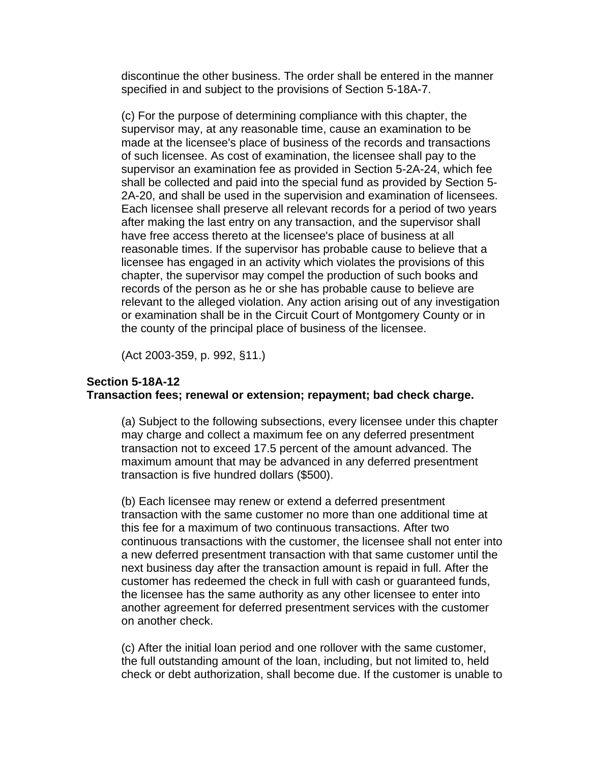discontinue the other business. The order shall be entered in the manner specified in and subject to the provisions of Section 5-18A-7.

(c) For the purpose of determining compliance with this chapter, the supervisor may, at any reasonable time, cause an examination to be made at the licensee's place of business of the records and transactions of such licensee. As cost of examination, the licensee shall pay to the supervisor an examination fee as provided in Section 5-2A-24, which fee shall be collected and paid into the special fund as provided by Section 5- 2A-20, and shall be used in the supervision and examination of licensees. Each licensee shall preserve all relevant records for a period of two years after making the last entry on any transaction, and the supervisor shall have free access thereto at the licensee's place of business at all reasonable times. If the supervisor has probable cause to believe that a licensee has engaged in an activity which violates the provisions of this chapter, the supervisor may compel the production of such books and records of the person as he or she has probable cause to believe are relevant to the alleged violation. Any action arising out of any investigation or examination shall be in the Circuit Court of Montgomery County or in the county of the principal place of business of the licensee.

(Act 2003-359, p. 992, §11.)

# **Section 5-18A-12 Transaction fees; renewal or extension; repayment; bad check charge.**

(a) Subject to the following subsections, every licensee under this chapter may charge and collect a maximum fee on any deferred presentment transaction not to exceed 17.5 percent of the amount advanced. The maximum amount that may be advanced in any deferred presentment transaction is five hundred dollars (\$500).

(b) Each licensee may renew or extend a deferred presentment transaction with the same customer no more than one additional time at this fee for a maximum of two continuous transactions. After two continuous transactions with the customer, the licensee shall not enter into a new deferred presentment transaction with that same customer until the next business day after the transaction amount is repaid in full. After the customer has redeemed the check in full with cash or guaranteed funds, the licensee has the same authority as any other licensee to enter into another agreement for deferred presentment services with the customer on another check.

(c) After the initial loan period and one rollover with the same customer, the full outstanding amount of the loan, including, but not limited to, held check or debt authorization, shall become due. If the customer is unable to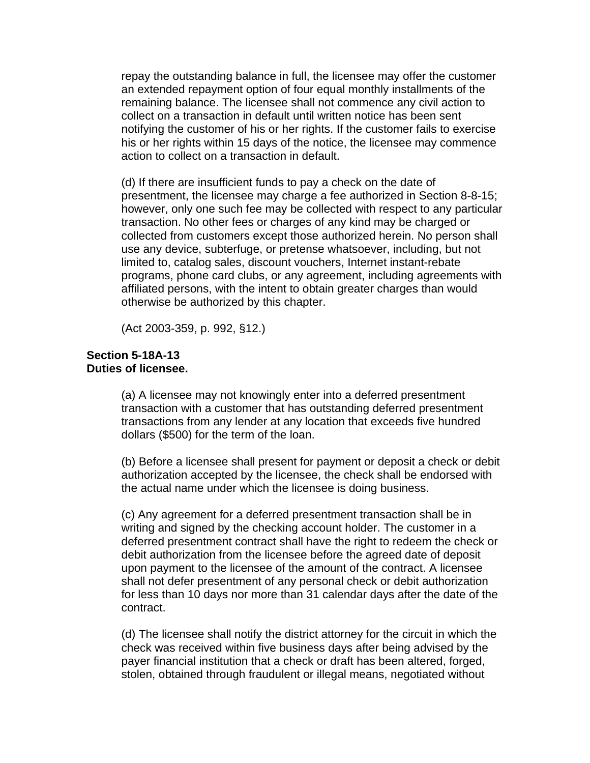repay the outstanding balance in full, the licensee may offer the customer an extended repayment option of four equal monthly installments of the remaining balance. The licensee shall not commence any civil action to collect on a transaction in default until written notice has been sent notifying the customer of his or her rights. If the customer fails to exercise his or her rights within 15 days of the notice, the licensee may commence action to collect on a transaction in default.

(d) If there are insufficient funds to pay a check on the date of presentment, the licensee may charge a fee authorized in Section 8-8-15; however, only one such fee may be collected with respect to any particular transaction. No other fees or charges of any kind may be charged or collected from customers except those authorized herein. No person shall use any device, subterfuge, or pretense whatsoever, including, but not limited to, catalog sales, discount vouchers, Internet instant-rebate programs, phone card clubs, or any agreement, including agreements with affiliated persons, with the intent to obtain greater charges than would otherwise be authorized by this chapter.

(Act 2003-359, p. 992, §12.)

# **Section 5-18A-13 Duties of licensee.**

(a) A licensee may not knowingly enter into a deferred presentment transaction with a customer that has outstanding deferred presentment transactions from any lender at any location that exceeds five hundred dollars (\$500) for the term of the loan.

(b) Before a licensee shall present for payment or deposit a check or debit authorization accepted by the licensee, the check shall be endorsed with the actual name under which the licensee is doing business.

(c) Any agreement for a deferred presentment transaction shall be in writing and signed by the checking account holder. The customer in a deferred presentment contract shall have the right to redeem the check or debit authorization from the licensee before the agreed date of deposit upon payment to the licensee of the amount of the contract. A licensee shall not defer presentment of any personal check or debit authorization for less than 10 days nor more than 31 calendar days after the date of the contract.

(d) The licensee shall notify the district attorney for the circuit in which the check was received within five business days after being advised by the payer financial institution that a check or draft has been altered, forged, stolen, obtained through fraudulent or illegal means, negotiated without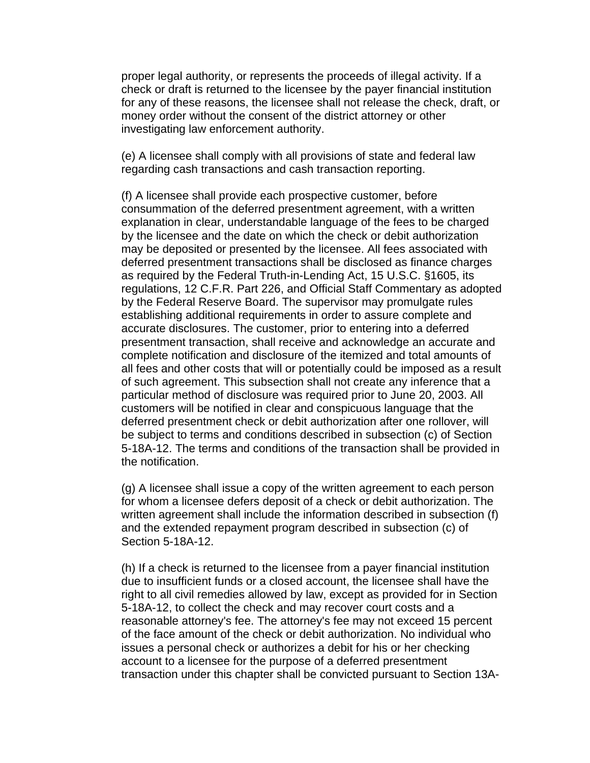proper legal authority, or represents the proceeds of illegal activity. If a check or draft is returned to the licensee by the payer financial institution for any of these reasons, the licensee shall not release the check, draft, or money order without the consent of the district attorney or other investigating law enforcement authority.

(e) A licensee shall comply with all provisions of state and federal law regarding cash transactions and cash transaction reporting.

(f) A licensee shall provide each prospective customer, before consummation of the deferred presentment agreement, with a written explanation in clear, understandable language of the fees to be charged by the licensee and the date on which the check or debit authorization may be deposited or presented by the licensee. All fees associated with deferred presentment transactions shall be disclosed as finance charges as required by the Federal Truth-in-Lending Act, 15 U.S.C. §1605, its regulations, 12 C.F.R. Part 226, and Official Staff Commentary as adopted by the Federal Reserve Board. The supervisor may promulgate rules establishing additional requirements in order to assure complete and accurate disclosures. The customer, prior to entering into a deferred presentment transaction, shall receive and acknowledge an accurate and complete notification and disclosure of the itemized and total amounts of all fees and other costs that will or potentially could be imposed as a result of such agreement. This subsection shall not create any inference that a particular method of disclosure was required prior to June 20, 2003. All customers will be notified in clear and conspicuous language that the deferred presentment check or debit authorization after one rollover, will be subject to terms and conditions described in subsection (c) of Section 5-18A-12. The terms and conditions of the transaction shall be provided in the notification.

(g) A licensee shall issue a copy of the written agreement to each person for whom a licensee defers deposit of a check or debit authorization. The written agreement shall include the information described in subsection (f) and the extended repayment program described in subsection (c) of Section 5-18A-12.

(h) If a check is returned to the licensee from a payer financial institution due to insufficient funds or a closed account, the licensee shall have the right to all civil remedies allowed by law, except as provided for in Section 5-18A-12, to collect the check and may recover court costs and a reasonable attorney's fee. The attorney's fee may not exceed 15 percent of the face amount of the check or debit authorization. No individual who issues a personal check or authorizes a debit for his or her checking account to a licensee for the purpose of a deferred presentment transaction under this chapter shall be convicted pursuant to Section 13A-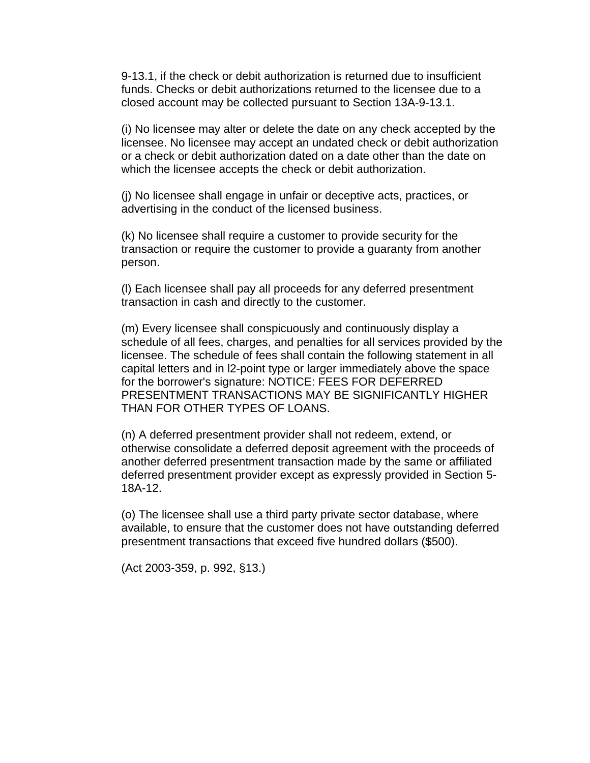9-13.1, if the check or debit authorization is returned due to insufficient funds. Checks or debit authorizations returned to the licensee due to a closed account may be collected pursuant to Section 13A-9-13.1.

(i) No licensee may alter or delete the date on any check accepted by the licensee. No licensee may accept an undated check or debit authorization or a check or debit authorization dated on a date other than the date on which the licensee accepts the check or debit authorization.

(j) No licensee shall engage in unfair or deceptive acts, practices, or advertising in the conduct of the licensed business.

(k) No licensee shall require a customer to provide security for the transaction or require the customer to provide a guaranty from another person.

(l) Each licensee shall pay all proceeds for any deferred presentment transaction in cash and directly to the customer.

(m) Every licensee shall conspicuously and continuously display a schedule of all fees, charges, and penalties for all services provided by the licensee. The schedule of fees shall contain the following statement in all capital letters and in l2-point type or larger immediately above the space for the borrower's signature: NOTICE: FEES FOR DEFERRED PRESENTMENT TRANSACTIONS MAY BE SIGNIFICANTLY HIGHER THAN FOR OTHER TYPES OF LOANS.

(n) A deferred presentment provider shall not redeem, extend, or otherwise consolidate a deferred deposit agreement with the proceeds of another deferred presentment transaction made by the same or affiliated deferred presentment provider except as expressly provided in Section 5- 18A-12.

(o) The licensee shall use a third party private sector database, where available, to ensure that the customer does not have outstanding deferred presentment transactions that exceed five hundred dollars (\$500).

(Act 2003-359, p. 992, §13.)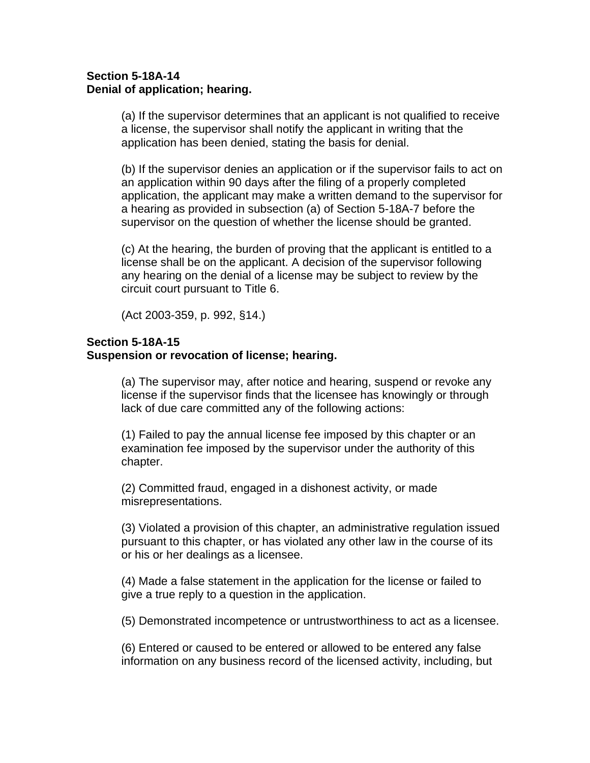# **Section 5-18A-14 Denial of application; hearing.**

(a) If the supervisor determines that an applicant is not qualified to receive a license, the supervisor shall notify the applicant in writing that the application has been denied, stating the basis for denial.

(b) If the supervisor denies an application or if the supervisor fails to act on an application within 90 days after the filing of a properly completed application, the applicant may make a written demand to the supervisor for a hearing as provided in subsection (a) of Section 5-18A-7 before the supervisor on the question of whether the license should be granted.

(c) At the hearing, the burden of proving that the applicant is entitled to a license shall be on the applicant. A decision of the supervisor following any hearing on the denial of a license may be subject to review by the circuit court pursuant to Title 6.

(Act 2003-359, p. 992, §14.)

#### **Section 5-18A-15**

#### **Suspension or revocation of license; hearing.**

(a) The supervisor may, after notice and hearing, suspend or revoke any license if the supervisor finds that the licensee has knowingly or through lack of due care committed any of the following actions:

(1) Failed to pay the annual license fee imposed by this chapter or an examination fee imposed by the supervisor under the authority of this chapter.

(2) Committed fraud, engaged in a dishonest activity, or made misrepresentations.

(3) Violated a provision of this chapter, an administrative regulation issued pursuant to this chapter, or has violated any other law in the course of its or his or her dealings as a licensee.

(4) Made a false statement in the application for the license or failed to give a true reply to a question in the application.

(5) Demonstrated incompetence or untrustworthiness to act as a licensee.

(6) Entered or caused to be entered or allowed to be entered any false information on any business record of the licensed activity, including, but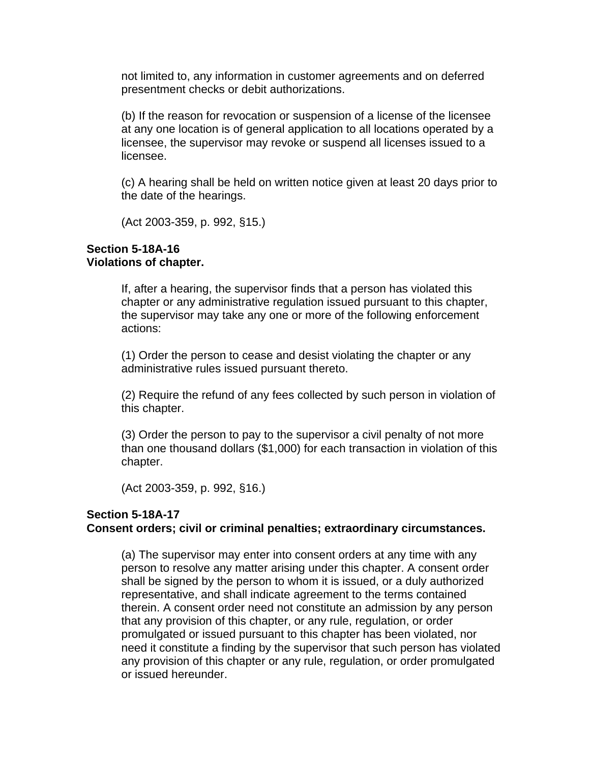not limited to, any information in customer agreements and on deferred presentment checks or debit authorizations.

(b) If the reason for revocation or suspension of a license of the licensee at any one location is of general application to all locations operated by a licensee, the supervisor may revoke or suspend all licenses issued to a licensee.

(c) A hearing shall be held on written notice given at least 20 days prior to the date of the hearings.

(Act 2003-359, p. 992, §15.)

# **Section 5-18A-16 Violations of chapter.**

If, after a hearing, the supervisor finds that a person has violated this chapter or any administrative regulation issued pursuant to this chapter, the supervisor may take any one or more of the following enforcement actions:

(1) Order the person to cease and desist violating the chapter or any administrative rules issued pursuant thereto.

(2) Require the refund of any fees collected by such person in violation of this chapter.

(3) Order the person to pay to the supervisor a civil penalty of not more than one thousand dollars (\$1,000) for each transaction in violation of this chapter.

(Act 2003-359, p. 992, §16.)

# **Section 5-18A-17 Consent orders; civil or criminal penalties; extraordinary circumstances.**

(a) The supervisor may enter into consent orders at any time with any person to resolve any matter arising under this chapter. A consent order shall be signed by the person to whom it is issued, or a duly authorized representative, and shall indicate agreement to the terms contained therein. A consent order need not constitute an admission by any person that any provision of this chapter, or any rule, regulation, or order promulgated or issued pursuant to this chapter has been violated, nor need it constitute a finding by the supervisor that such person has violated any provision of this chapter or any rule, regulation, or order promulgated or issued hereunder.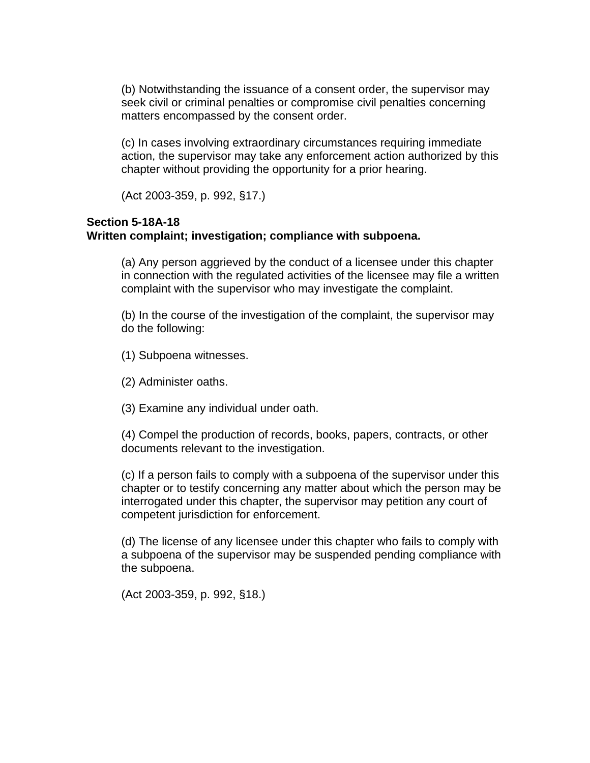(b) Notwithstanding the issuance of a consent order, the supervisor may seek civil or criminal penalties or compromise civil penalties concerning matters encompassed by the consent order.

(c) In cases involving extraordinary circumstances requiring immediate action, the supervisor may take any enforcement action authorized by this chapter without providing the opportunity for a prior hearing.

(Act 2003-359, p. 992, §17.)

# **Section 5-18A-18 Written complaint; investigation; compliance with subpoena.**

(a) Any person aggrieved by the conduct of a licensee under this chapter in connection with the regulated activities of the licensee may file a written complaint with the supervisor who may investigate the complaint.

(b) In the course of the investigation of the complaint, the supervisor may do the following:

(1) Subpoena witnesses.

(2) Administer oaths.

(3) Examine any individual under oath.

(4) Compel the production of records, books, papers, contracts, or other documents relevant to the investigation.

(c) If a person fails to comply with a subpoena of the supervisor under this chapter or to testify concerning any matter about which the person may be interrogated under this chapter, the supervisor may petition any court of competent jurisdiction for enforcement.

(d) The license of any licensee under this chapter who fails to comply with a subpoena of the supervisor may be suspended pending compliance with the subpoena.

(Act 2003-359, p. 992, §18.)